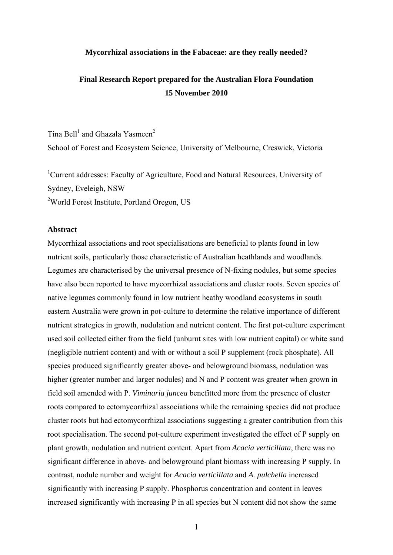#### **Mycorrhizal associations in the Fabaceae: are they really needed?**

# **Final Research Report prepared for the Australian Flora Foundation 15 November 2010**

Tina Bell<sup>1</sup> and Ghazala Yasmeen<sup>2</sup> School of Forest and Ecosystem Science, University of Melbourne, Creswick, Victoria

<sup>1</sup>Current addresses: Faculty of Agriculture, Food and Natural Resources, University of Sydney, Eveleigh, NSW

<sup>2</sup>World Forest Institute, Portland Oregon, US

# **Abstract**

Mycorrhizal associations and root specialisations are beneficial to plants found in low nutrient soils, particularly those characteristic of Australian heathlands and woodlands. Legumes are characterised by the universal presence of N-fixing nodules, but some species have also been reported to have mycorrhizal associations and cluster roots. Seven species of native legumes commonly found in low nutrient heathy woodland ecosystems in south eastern Australia were grown in pot-culture to determine the relative importance of different nutrient strategies in growth, nodulation and nutrient content. The first pot-culture experiment used soil collected either from the field (unburnt sites with low nutrient capital) or white sand (negligible nutrient content) and with or without a soil P supplement (rock phosphate). All species produced significantly greater above- and belowground biomass, nodulation was higher (greater number and larger nodules) and N and P content was greater when grown in field soil amended with P. *Viminaria juncea* benefitted more from the presence of cluster roots compared to ectomycorrhizal associations while the remaining species did not produce cluster roots but had ectomycorrhizal associations suggesting a greater contribution from this root specialisation. The second pot-culture experiment investigated the effect of P supply on plant growth, nodulation and nutrient content. Apart from *Acacia verticillata*, there was no significant difference in above- and belowground plant biomass with increasing P supply. In contrast, nodule number and weight for *Acacia verticillata* and *A. pulchella* increased significantly with increasing P supply. Phosphorus concentration and content in leaves increased significantly with increasing P in all species but N content did not show the same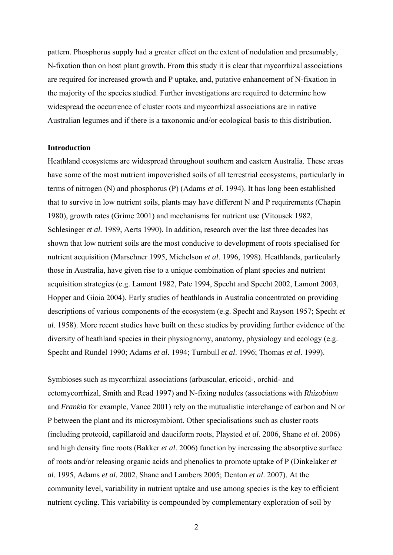pattern. Phosphorus supply had a greater effect on the extent of nodulation and presumably, N-fixation than on host plant growth. From this study it is clear that mycorrhizal associations are required for increased growth and P uptake, and, putative enhancement of N-fixation in the majority of the species studied. Further investigations are required to determine how widespread the occurrence of cluster roots and mycorrhizal associations are in native Australian legumes and if there is a taxonomic and/or ecological basis to this distribution.

#### **Introduction**

Heathland ecosystems are widespread throughout southern and eastern Australia. These areas have some of the most nutrient impoverished soils of all terrestrial ecosystems, particularly in terms of nitrogen (N) and phosphorus (P) (Adams *et al*. 1994). It has long been established that to survive in low nutrient soils, plants may have different N and P requirements (Chapin 1980), growth rates (Grime 2001) and mechanisms for nutrient use (Vitousek 1982, Schlesinger *et al.* 1989, Aerts 1990). In addition, research over the last three decades has shown that low nutrient soils are the most conducive to development of roots specialised for nutrient acquisition (Marschner 1995, Michelson *et al*. 1996, 1998). Heathlands, particularly those in Australia, have given rise to a unique combination of plant species and nutrient acquisition strategies (e.g. Lamont 1982, Pate 1994, Specht and Specht 2002, Lamont 2003, Hopper and Gioia 2004). Early studies of heathlands in Australia concentrated on providing descriptions of various components of the ecosystem (e.g. Specht and Rayson 1957; Specht *et al*. 1958). More recent studies have built on these studies by providing further evidence of the diversity of heathland species in their physiognomy, anatomy, physiology and ecology (e.g. Specht and Rundel 1990; Adams *et al*. 1994; Turnbull *et al*. 1996; Thomas *et al*. 1999).

Symbioses such as mycorrhizal associations (arbuscular, ericoid-, orchid- and ectomycorrhizal, Smith and Read 1997) and N-fixing nodules (associations with *Rhizobium* and *Frankia* for example, Vance 2001) rely on the mutualistic interchange of carbon and N or P between the plant and its microsymbiont. Other specialisations such as cluster roots (including proteoid, capillaroid and dauciform roots, Playsted *et al*. 2006, Shane *et al*. 2006) and high density fine roots (Bakker *et al*. 2006) function by increasing the absorptive surface of roots and/or releasing organic acids and phenolics to promote uptake of P (Dinkelaker *et al*. 1995, Adams *et al.* 2002, Shane and Lambers 2005; Denton *et al*. 2007). At the community level, variability in nutrient uptake and use among species is the key to efficient nutrient cycling. This variability is compounded by complementary exploration of soil by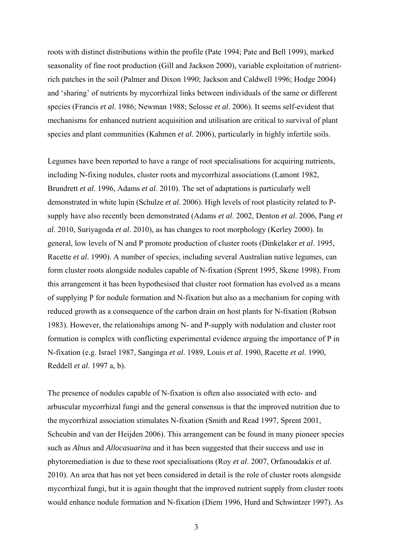roots with distinct distributions within the profile (Pate 1994; Pate and Bell 1999), marked seasonality of fine root production (Gill and Jackson 2000), variable exploitation of nutrientrich patches in the soil (Palmer and Dixon 1990; Jackson and Caldwell 1996; Hodge 2004) and 'sharing' of nutrients by mycorrhizal links between individuals of the same or different species (Francis *et al*. 1986; Newman 1988; Selosse *et al*. 2006). It seems self-evident that mechanisms for enhanced nutrient acquisition and utilisation are critical to survival of plant species and plant communities (Kahmen *et al*. 2006), particularly in highly infertile soils.

Legumes have been reported to have a range of root specialisations for acquiring nutrients, including N-fixing nodules, cluster roots and mycorrhizal associations (Lamont 1982, Brundrett *et al*. 1996, Adams *et al*. 2010). The set of adaptations is particularly well demonstrated in white lupin (Schulze *et al*. 2006). High levels of root plasticity related to Psupply have also recently been demonstrated (Adams *et al*. 2002, Denton *et al*. 2006, Pang *et al*. 2010, Suriyagoda *et al*. 2010), as has changes to root morphology (Kerley 2000). In general, low levels of N and P promote production of cluster roots (Dinkelaker *et al*. 1995, Racette *et al*. 1990). A number of species, including several Australian native legumes, can form cluster roots alongside nodules capable of N-fixation (Sprent 1995, Skene 1998). From this arrangement it has been hypothesised that cluster root formation has evolved as a means of supplying P for nodule formation and N-fixation but also as a mechanism for coping with reduced growth as a consequence of the carbon drain on host plants for N-fixation (Robson 1983). However, the relationships among N- and P-supply with nodulation and cluster root formation is complex with conflicting experimental evidence arguing the importance of P in N-fixation (e.g. Israel 1987, Sanginga *et al*. 1989, Louis *et al*. 1990, Racette *et al*. 1990, Reddell *et al*. 1997 a, b).

The presence of nodules capable of N-fixation is often also associated with ecto- and arbuscular mycorrhizal fungi and the general consensus is that the improved nutrition due to the mycorrhizal association stimulates N-fixation (Smith and Read 1997, Sprent 2001, Scheubin and van der Heijden 2006). This arrangement can be found in many pioneer species such as *Alnus* and *Allocasuarina* and it has been suggested that their success and use in phytoremediation is due to these root specialisations (Roy *et al*. 2007, Orfanoudakis *et al*. 2010). An area that has not yet been considered in detail is the role of cluster roots alongside mycorrhizal fungi, but it is again thought that the improved nutrient supply from cluster roots would enhance nodule formation and N-fixation (Diem 1996, Hurd and Schwintzer 1997). As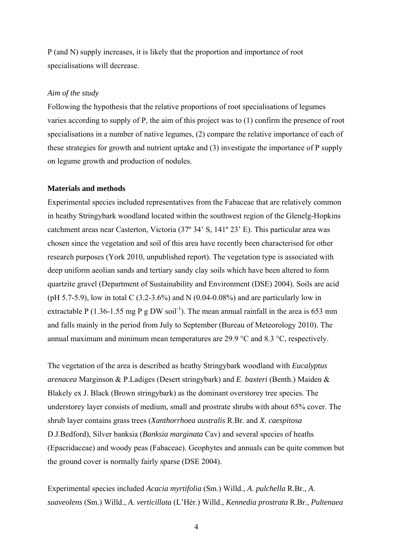P (and N) supply increases, it is likely that the proportion and importance of root specialisations will decrease.

# *Aim of the study*

Following the hypothesis that the relative proportions of root specialisations of legumes varies according to supply of P, the aim of this project was to (1) confirm the presence of root specialisations in a number of native legumes, (2) compare the relative importance of each of these strategies for growth and nutrient uptake and (3) investigate the importance of P supply on legume growth and production of nodules.

# **Materials and methods**

Experimental species included representatives from the Fabaceae that are relatively common in heathy Stringybark woodland located within the southwest region of the Glenelg-Hopkins catchment areas near Casterton, Victoria (37º 34' S, 141º 23' E). This particular area was chosen since the vegetation and soil of this area have recently been characterised for other research purposes (York 2010, unpublished report). The vegetation type is associated with deep uniform aeolian sands and tertiary sandy clay soils which have been altered to form quartzite gravel (Department of Sustainability and Environment (DSE) 2004). Soils are acid (pH 5.7-5.9), low in total C  $(3.2-3.6%)$  and N  $(0.04-0.08%)$  and are particularly low in extractable P (1.36-1.55 mg P g DW soil<sup>-1</sup>). The mean annual rainfall in the area is 653 mm and falls mainly in the period from July to September (Bureau of Meteorology 2010). The annual maximum and minimum mean temperatures are 29.9 °C and 8.3 °C, respectively.

The vegetation of the area is described as heathy Stringybark woodland with *Eucalyptus arenacea* Marginson & P.Ladiges (Desert stringybark) and *E*. *baxteri* (Benth.) Maiden & Blakely ex J. Black (Brown stringybark) as the dominant overstorey tree species. The understorey layer consists of medium, small and prostrate shrubs with about 65% cover. The shrub layer contains grass trees (*Xanthorrhoea australis* R.Br. and *X*. *caespitosa* D.J.Bedford), Silver banksia (*Banksia marginata* Cav) and several species of heaths (Epacridaceae) and woody peas (Fabaceae). Geophytes and annuals can be quite common but the ground cover is normally fairly sparse (DSE 2004).

Experimental species included *Acacia myrtifolia* (Sm.) Willd., *A*. *pulchella* R.Br., *A*. *suaveolens* (Sm.) Willd., *A*. *verticillata* (L'Hér.) Willd., *Kennedia prostrata* R.Br., *Pultenaea*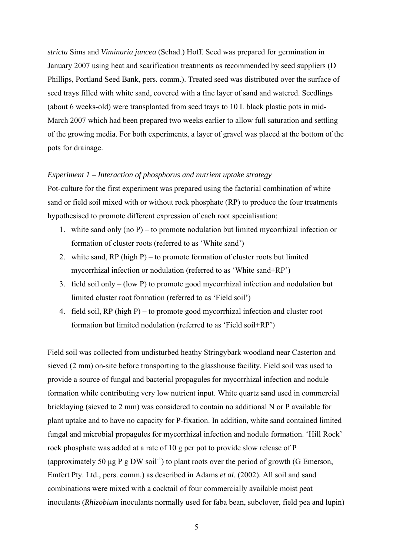*stricta* Sims and *Viminaria juncea* (Schad.) Hoff. Seed was prepared for germination in January 2007 using heat and scarification treatments as recommended by seed suppliers (D Phillips, Portland Seed Bank, pers. comm.). Treated seed was distributed over the surface of seed trays filled with white sand, covered with a fine layer of sand and watered. Seedlings (about 6 weeks-old) were transplanted from seed trays to 10 L black plastic pots in mid-March 2007 which had been prepared two weeks earlier to allow full saturation and settling of the growing media. For both experiments, a layer of gravel was placed at the bottom of the pots for drainage.

# *Experiment 1 – Interaction of phosphorus and nutrient uptake strategy*

Pot-culture for the first experiment was prepared using the factorial combination of white sand or field soil mixed with or without rock phosphate (RP) to produce the four treatments hypothesised to promote different expression of each root specialisation:

- 1. white sand only (no P) to promote nodulation but limited mycorrhizal infection or formation of cluster roots (referred to as 'White sand')
- 2. white sand,  $RP$  (high P) to promote formation of cluster roots but limited mycorrhizal infection or nodulation (referred to as 'White sand+RP')
- 3. field soil only (low P) to promote good mycorrhizal infection and nodulation but limited cluster root formation (referred to as 'Field soil')
- 4. field soil, RP (high P) to promote good mycorrhizal infection and cluster root formation but limited nodulation (referred to as 'Field soil+RP')

Field soil was collected from undisturbed heathy Stringybark woodland near Casterton and sieved (2 mm) on-site before transporting to the glasshouse facility. Field soil was used to provide a source of fungal and bacterial propagules for mycorrhizal infection and nodule formation while contributing very low nutrient input. White quartz sand used in commercial bricklaying (sieved to 2 mm) was considered to contain no additional N or P available for plant uptake and to have no capacity for P-fixation. In addition, white sand contained limited fungal and microbial propagules for mycorrhizal infection and nodule formation. 'Hill Rock' rock phosphate was added at a rate of 10 g per pot to provide slow release of P (approximately 50 μg P g DW soil<sup>-1</sup>) to plant roots over the period of growth (G Emerson, Emfert Pty. Ltd., pers. comm.) as described in Adams *et al*. (2002). All soil and sand combinations were mixed with a cocktail of four commercially available moist peat inoculants (*Rhizobium* inoculants normally used for faba bean, subclover, field pea and lupin)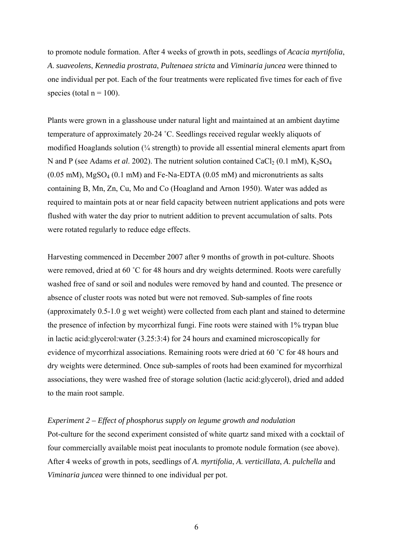to promote nodule formation. After 4 weeks of growth in pots, seedlings of *Acacia myrtifolia*, *A*. *suaveolens*, *Kennedia prostrata*, *Pultenaea stricta* and *Viminaria juncea* were thinned to one individual per pot. Each of the four treatments were replicated five times for each of five species (total  $n = 100$ ).

Plants were grown in a glasshouse under natural light and maintained at an ambient daytime temperature of approximately 20-24 ˚C. Seedlings received regular weekly aliquots of modified Hoaglands solution  $\frac{1}{4}$  strength) to provide all essential mineral elements apart from N and P (see Adams *et al.* 2002). The nutrient solution contained CaCl<sub>2</sub> (0.1 mM), K<sub>2</sub>SO<sub>4</sub>  $(0.05 \text{ mM})$ , MgSO<sub>4</sub>  $(0.1 \text{ mM})$  and Fe-Na-EDTA  $(0.05 \text{ mM})$  and micronutrients as salts containing B, Mn, Zn, Cu, Mo and Co (Hoagland and Arnon 1950). Water was added as required to maintain pots at or near field capacity between nutrient applications and pots were flushed with water the day prior to nutrient addition to prevent accumulation of salts. Pots were rotated regularly to reduce edge effects.

Harvesting commenced in December 2007 after 9 months of growth in pot-culture. Shoots were removed, dried at 60 °C for 48 hours and dry weights determined. Roots were carefully washed free of sand or soil and nodules were removed by hand and counted. The presence or absence of cluster roots was noted but were not removed. Sub-samples of fine roots (approximately 0.5-1.0 g wet weight) were collected from each plant and stained to determine the presence of infection by mycorrhizal fungi. Fine roots were stained with 1% trypan blue in lactic acid:glycerol:water (3.25:3:4) for 24 hours and examined microscopically for evidence of mycorrhizal associations. Remaining roots were dried at 60 ˚C for 48 hours and dry weights were determined. Once sub-samples of roots had been examined for mycorrhizal associations, they were washed free of storage solution (lactic acid:glycerol), dried and added to the main root sample.

## *Experiment 2 – Effect of phosphorus supply on legume growth and nodulation*

Pot-culture for the second experiment consisted of white quartz sand mixed with a cocktail of four commercially available moist peat inoculants to promote nodule formation (see above). After 4 weeks of growth in pots, seedlings of *A*. *myrtifolia*, *A*. *verticillata*, *A*. *pulchella* and *Viminaria juncea* were thinned to one individual per pot.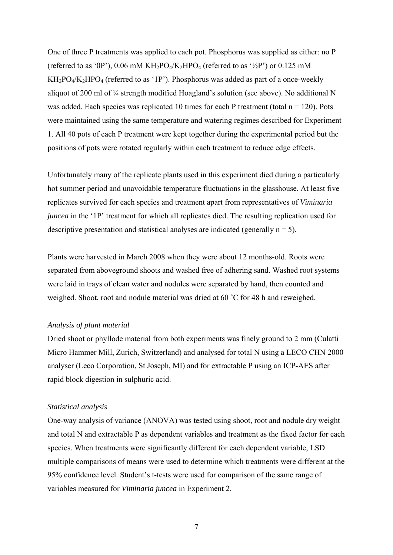One of three P treatments was applied to each pot. Phosphorus was supplied as either: no P (referred to as '0P'), 0.06 mM  $KH_2PO_4/K_2HPO_4$  (referred to as ' $\frac{1}{2}P$ ') or 0.125 mM  $KH_2PO_4/K_2HPO_4$  (referred to as '1P'). Phosphorus was added as part of a once-weekly aliquot of 200 ml of ¼ strength modified Hoagland's solution (see above). No additional N was added. Each species was replicated 10 times for each P treatment (total  $n = 120$ ). Pots were maintained using the same temperature and watering regimes described for Experiment 1. All 40 pots of each P treatment were kept together during the experimental period but the positions of pots were rotated regularly within each treatment to reduce edge effects.

Unfortunately many of the replicate plants used in this experiment died during a particularly hot summer period and unavoidable temperature fluctuations in the glasshouse. At least five replicates survived for each species and treatment apart from representatives of *Viminaria juncea* in the '1P' treatment for which all replicates died. The resulting replication used for descriptive presentation and statistical analyses are indicated (generally  $n = 5$ ).

Plants were harvested in March 2008 when they were about 12 months-old. Roots were separated from aboveground shoots and washed free of adhering sand. Washed root systems were laid in trays of clean water and nodules were separated by hand, then counted and weighed. Shoot, root and nodule material was dried at 60 °C for 48 h and reweighed.

## *Analysis of plant material*

Dried shoot or phyllode material from both experiments was finely ground to 2 mm (Culatti Micro Hammer Mill, Zurich, Switzerland) and analysed for total N using a LECO CHN 2000 analyser (Leco Corporation, St Joseph, MI) and for extractable P using an ICP-AES after rapid block digestion in sulphuric acid.

# *Statistical analysis*

One-way analysis of variance (ANOVA) was tested using shoot, root and nodule dry weight and total N and extractable P as dependent variables and treatment as the fixed factor for each species. When treatments were significantly different for each dependent variable, LSD multiple comparisons of means were used to determine which treatments were different at the 95% confidence level. Student's t-tests were used for comparison of the same range of variables measured for *Viminaria juncea* in Experiment 2.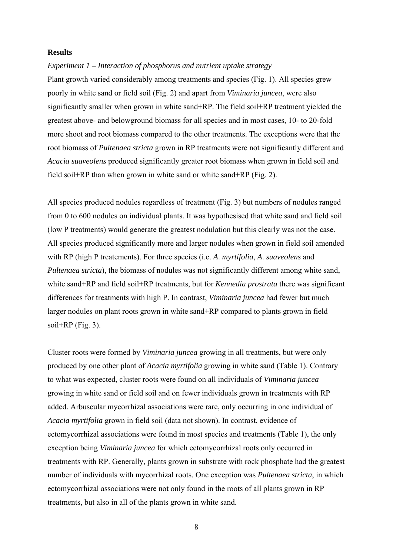#### **Results**

#### *Experiment 1 – Interaction of phosphorus and nutrient uptake strategy*

Plant growth varied considerably among treatments and species (Fig. 1). All species grew poorly in white sand or field soil (Fig. 2) and apart from *Viminaria juncea*, were also significantly smaller when grown in white sand+RP. The field soil+RP treatment yielded the greatest above- and belowground biomass for all species and in most cases, 10- to 20-fold more shoot and root biomass compared to the other treatments. The exceptions were that the root biomass of *Pultenaea stricta* grown in RP treatments were not significantly different and *Acacia suaveolens* produced significantly greater root biomass when grown in field soil and field soil+RP than when grown in white sand or white sand+RP (Fig. 2).

All species produced nodules regardless of treatment (Fig. 3) but numbers of nodules ranged from 0 to 600 nodules on individual plants. It was hypothesised that white sand and field soil (low P treatments) would generate the greatest nodulation but this clearly was not the case. All species produced significantly more and larger nodules when grown in field soil amended with RP (high P treatements). For three species (i.e. *A*. *myrtifolia*, *A*. *suaveolens* and *Pultenaea stricta*), the biomass of nodules was not significantly different among white sand, white sand+RP and field soil+RP treatments, but for *Kennedia prostrata* there was significant differences for treatments with high P. In contrast, *Viminaria juncea* had fewer but much larger nodules on plant roots grown in white sand+RP compared to plants grown in field soil+RP (Fig. 3).

Cluster roots were formed by *Viminaria juncea* growing in all treatments, but were only produced by one other plant of *Acacia myrtifolia* growing in white sand (Table 1). Contrary to what was expected, cluster roots were found on all individuals of *Viminaria juncea* growing in white sand or field soil and on fewer individuals grown in treatments with RP added. Arbuscular mycorrhizal associations were rare, only occurring in one individual of *Acacia myrtifolia* grown in field soil (data not shown). In contrast, evidence of ectomycorrhizal associations were found in most species and treatments (Table 1), the only exception being *Viminaria juncea* for which ectomycorrhizal roots only occurred in treatments with RP. Generally, plants grown in substrate with rock phosphate had the greatest number of individuals with mycorrhizal roots. One exception was *Pultenaea stricta*, in which ectomycorrhizal associations were not only found in the roots of all plants grown in RP treatments, but also in all of the plants grown in white sand.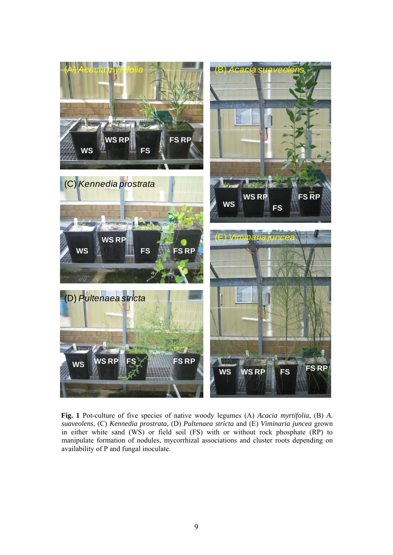

**Fig. 1** Pot-culture of five species of native woody legumes (A) *Acacia myrtifolia*, (B) *A*. *suaveolens*, (C) *Kennedia prostrata*, (D) *Pultenaea stricta* and (E) *Viminaria juncea* grown in either white sand (WS) or field soil (FS) with or without rock phosphate (RP) to manipulate formation of nodules, mycorrhizal associations and cluster roots depending on availability of P and fungal inoculate.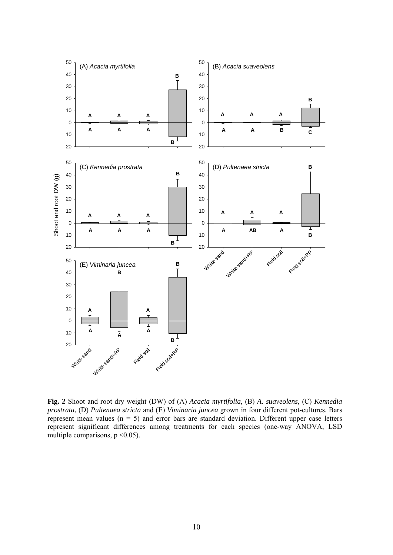

**Fig. 2** Shoot and root dry weight (DW) of (A) *Acacia myrtifolia*, (B) *A*. *suaveolens*, (C) *Kennedia prostrata*, (D) *Pultenaea stricta* and (E) *Viminaria juncea* grown in four different pot-cultures. Bars represent mean values  $(n = 5)$  and error bars are standard deviation. Different upper case letters represent significant differences among treatments for each species (one-way ANOVA, LSD multiple comparisons,  $p \le 0.05$ ).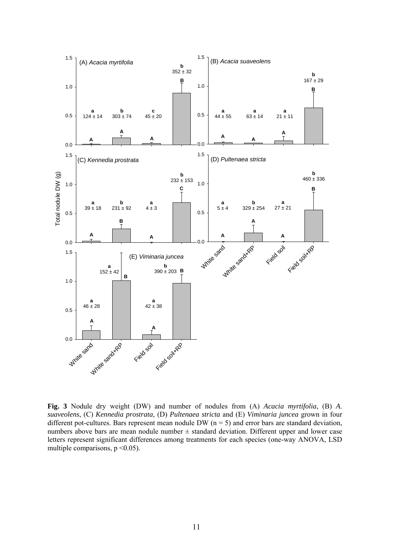

**Fig. 3** Nodule dry weight (DW) and number of nodules from (A) *Acacia myrtifolia*, (B) *A*. *suaveolens*, (C) *Kennedia prostrata*, (D) *Pultenaea stricta* and (E) *Viminaria juncea* grown in four different pot-cultures. Bars represent mean nodule DW ( $n = 5$ ) and error bars are standard deviation, numbers above bars are mean nodule number  $\pm$  standard deviation. Different upper and lower case letters represent significant differences among treatments for each species (one-way ANOVA, LSD multiple comparisons,  $p \le 0.05$ ).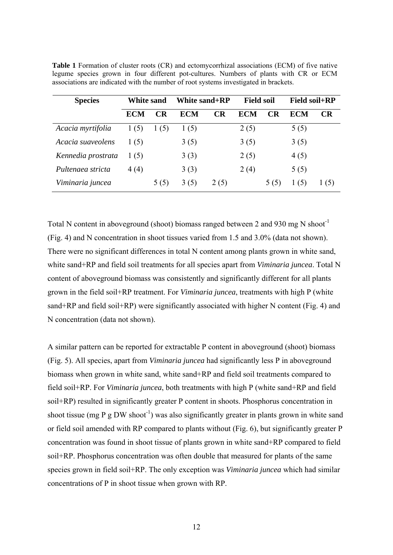| <b>Species</b>     | White sand |      | White sand+RP |      | <b>Field soil</b> |           | <b>Field soil+RP</b> |     |
|--------------------|------------|------|---------------|------|-------------------|-----------|----------------------|-----|
|                    | <b>ECM</b> | CR   | <b>ECM</b>    | CR   | <b>ECM</b>        | <b>CR</b> | ECM                  | CR  |
| Acacia myrtifolia  | 1(5)       | 1(5) | 1(5)          |      | 2(5)              |           | 5(5)                 |     |
| Acacia suaveolens  | 1(5)       |      | 3(5)          |      | 3(5)              |           | 3(5)                 |     |
| Kennedia prostrata | 1(5)       |      | 3(3)          |      | 2(5)              |           | 4(5)                 |     |
| Pultenaea stricta  | 4(4)       |      | 3(3)          |      | 2(4)              |           | 5(5)                 |     |
| Viminaria juncea   |            | 5(5) | 3(5)          | 2(5) |                   | 5(5)      | (5)                  | (5) |

**Table 1** Formation of cluster roots (CR) and ectomycorrhizal associations (ECM) of five native legume species grown in four different pot-cultures. Numbers of plants with CR or ECM associations are indicated with the number of root systems investigated in brackets.

Total N content in aboveground (shoot) biomass ranged between 2 and 930 mg N shoot<sup>-1</sup> (Fig. 4) and N concentration in shoot tissues varied from 1.5 and 3.0% (data not shown). There were no significant differences in total N content among plants grown in white sand, white sand+RP and field soil treatments for all species apart from *Viminaria juncea*. Total N content of aboveground biomass was consistently and significantly different for all plants grown in the field soil+RP treatment. For *Viminaria juncea*, treatments with high P (white sand+RP and field soil+RP) were significantly associated with higher N content (Fig. 4) and N concentration (data not shown).

A similar pattern can be reported for extractable P content in aboveground (shoot) biomass (Fig. 5). All species, apart from *Viminaria juncea* had significantly less P in aboveground biomass when grown in white sand, white sand+RP and field soil treatments compared to field soil+RP. For *Viminaria juncea*, both treatments with high P (white sand+RP and field soil+RP) resulted in significantly greater P content in shoots. Phosphorus concentration in shoot tissue (mg P g DW shoot<sup>-1</sup>) was also significantly greater in plants grown in white sand or field soil amended with RP compared to plants without (Fig. 6), but significantly greater P concentration was found in shoot tissue of plants grown in white sand+RP compared to field soil+RP. Phosphorus concentration was often double that measured for plants of the same species grown in field soil+RP. The only exception was *Viminaria juncea* which had similar concentrations of P in shoot tissue when grown with RP.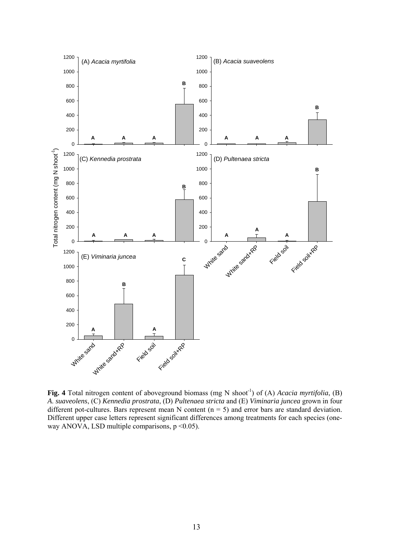

**Fig. 4** Total nitrogen content of aboveground biomass (mg N shoot<sup>-1</sup>) of (A) *Acacia myrtifolia*, (B) *A*. *suaveolens*, (C) *Kennedia prostrata*, (D) *Pultenaea stricta* and (E) *Viminaria juncea* grown in four different pot-cultures. Bars represent mean N content ( $n = 5$ ) and error bars are standard deviation. Different upper case letters represent significant differences among treatments for each species (oneway ANOVA, LSD multiple comparisons,  $p \le 0.05$ ).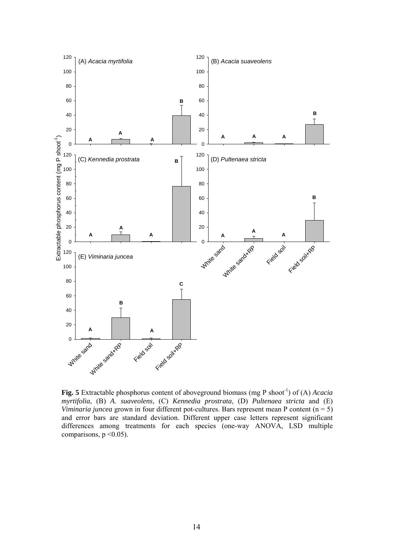

**Fig. 5** Extractable phosphorus content of aboveground biomass (mg P shoot<sup>-1</sup>) of (A) *Acacia myrtifolia*, (B) *A*. *suaveolens*, (C) *Kennedia prostrata*, (D) *Pultenaea stricta* and (E) *Viminaria juncea* grown in four different pot-cultures. Bars represent mean P content (n = 5) and error bars are standard deviation. Different upper case letters represent significant differences among treatments for each species (one-way ANOVA, LSD multiple comparisons,  $p \le 0.05$ ).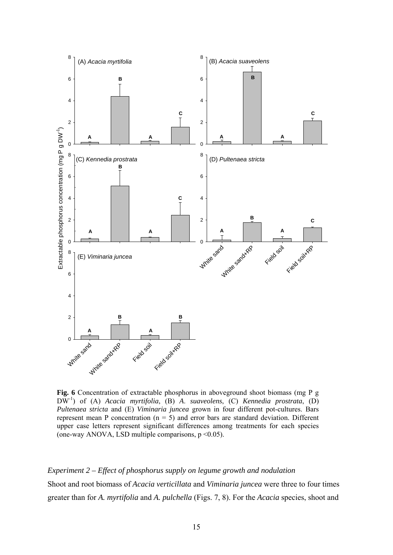

**Fig. 6** Concentration of extractable phosphorus in aboveground shoot biomass (mg P g DW-1) of (A) *Acacia myrtifolia*, (B) *A*. *suaveolens*, (C) *Kennedia prostrata*, (D) *Pultenaea stricta* and (E) *Viminaria juncea* grown in four different pot-cultures. Bars represent mean P concentration ( $n = 5$ ) and error bars are standard deviation. Different upper case letters represent significant differences among treatments for each species (one-way ANOVA, LSD multiple comparisons,  $p \le 0.05$ ).

*Experiment 2 – Effect of phosphorus supply on legume growth and nodulation*  Shoot and root biomass of *Acacia verticillata* and *Viminaria juncea* were three to four times greater than for *A. myrtifolia* and *A. pulchella* (Figs. 7, 8). For the *Acacia* species, shoot and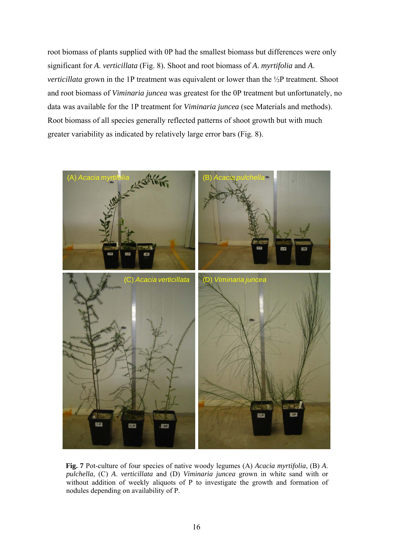root biomass of plants supplied with 0P had the smallest biomass but differences were only significant for *A*. *verticillata* (Fig. 8). Shoot and root biomass of *A*. *myrtifolia* and *A*. *verticillata* grown in the 1P treatment was equivalent or lower than the ½P treatment. Shoot and root biomass of *Viminaria juncea* was greatest for the 0P treatment but unfortunately, no data was available for the 1P treatment for *Viminaria juncea* (see Materials and methods). Root biomass of all species generally reflected patterns of shoot growth but with much greater variability as indicated by relatively large error bars (Fig. 8).



**Fig. 7** Pot-culture of four species of native woody legumes (A) *Acacia myrtifolia*, (B) *A*. *pulchella*, (C) *A*. *verticillata* and (D) *Viminaria juncea* grown in white sand with or without addition of weekly aliquots of P to investigate the growth and formation of nodules depending on availability of P.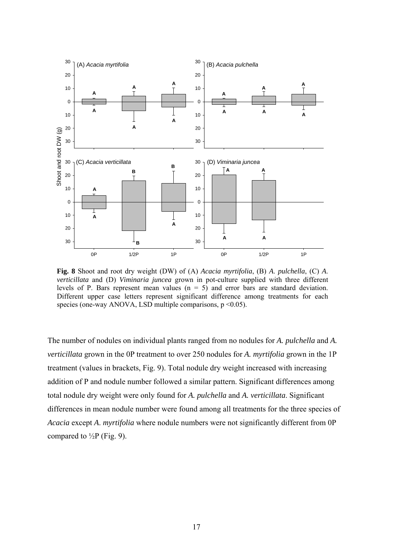

**Fig. 8** Shoot and root dry weight (DW) of (A) *Acacia myrtifolia*, (B) *A*. *pulchella*, (C) *A*. *verticillata* and (D) *Viminaria juncea* grown in pot-culture supplied with three different levels of P. Bars represent mean values  $(n = 5)$  and error bars are standard deviation. Different upper case letters represent significant difference among treatments for each species (one-way ANOVA, LSD multiple comparisons,  $p \le 0.05$ ).

The number of nodules on individual plants ranged from no nodules for *A. pulchella* and *A. verticillata* grown in the 0P treatment to over 250 nodules for *A. myrtifolia* grown in the 1P treatment (values in brackets, Fig. 9). Total nodule dry weight increased with increasing addition of P and nodule number followed a similar pattern. Significant differences among total nodule dry weight were only found for *A. pulchella* and *A. verticillata*. Significant differences in mean nodule number were found among all treatments for the three species of *Acacia* except *A*. *myrtifolia* where nodule numbers were not significantly different from 0P compared to  $\frac{1}{2}P$  (Fig. 9).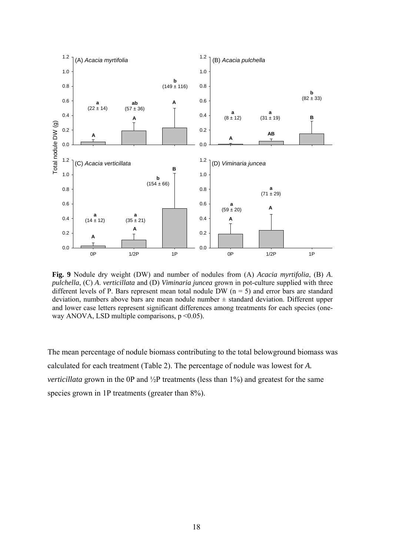

**Fig. 9** Nodule dry weight (DW) and number of nodules from (A) *Acacia myrtifolia*, (B) *A*. *pulchella*, (C) *A*. *verticillata* and (D) *Viminaria juncea* grown in pot-culture supplied with three different levels of P. Bars represent mean total nodule DW ( $n = 5$ ) and error bars are standard deviation, numbers above bars are mean nodule number  $\pm$  standard deviation. Different upper and lower case letters represent significant differences among treatments for each species (oneway ANOVA, LSD multiple comparisons,  $p \le 0.05$ ).

The mean percentage of nodule biomass contributing to the total belowground biomass was calculated for each treatment (Table 2). The percentage of nodule was lowest for *A. verticillata* grown in the 0P and ½P treatments (less than 1%) and greatest for the same species grown in 1P treatments (greater than  $8\%$ ).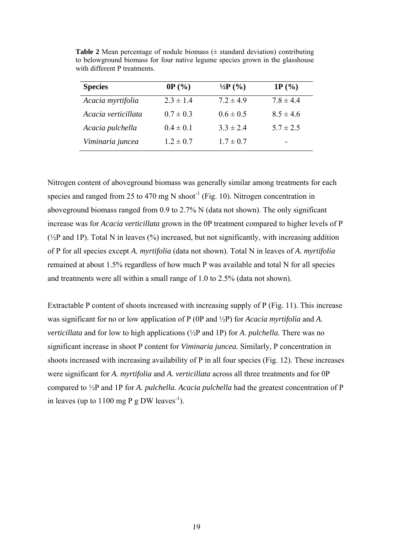| <b>Species</b>      | 0P(%)         | $\frac{1}{2}P(\%)$ | 1P $(% )$     |
|---------------------|---------------|--------------------|---------------|
| Acacia myrtifolia   | $2.3 \pm 1.4$ | $7.2 \pm 4.9$      | $7.8 \pm 4.4$ |
| Acacia verticillata | $0.7 \pm 0.3$ | $0.6 \pm 0.5$      | $8.5 \pm 4.6$ |
| Acacia pulchella    | $0.4 \pm 0.1$ | $3.3 \pm 2.4$      | $5.7 \pm 2.5$ |
| Viminaria juncea    | $1.2 \pm 0.7$ | $1.7 \pm 0.7$      | -             |

**Table 2** Mean percentage of nodule biomass  $(\pm$  standard deviation) contributing to belowground biomass for four native legume species grown in the glasshouse with different P treatments.

Nitrogen content of aboveground biomass was generally similar among treatments for each species and ranged from 25 to 470 mg N shoot<sup>-1</sup> (Fig. 10). Nitrogen concentration in aboveground biomass ranged from 0.9 to 2.7% N (data not shown). The only significant increase was for *Acacia verticillata* grown in the 0P treatment compared to higher levels of P  $(\frac{1}{2}P \text{ and } IP)$ . Total N in leaves (%) increased, but not significantly, with increasing addition of P for all species except *A. myrtifolia* (data not shown). Total N in leaves of *A. myrtifolia* remained at about 1.5% regardless of how much P was available and total N for all species and treatments were all within a small range of 1.0 to 2.5% (data not shown).

Extractable P content of shoots increased with increasing supply of P (Fig. 11). This increase was significant for no or low application of P (0P and ½P) for *Acacia myrtifolia* and *A*. *verticillata* and for low to high applications (½P and 1P) for *A*. *pulchella.* There was no significant increase in shoot P content for *Viminaria juncea.* Similarly, P concentration in shoots increased with increasing availability of P in all four species (Fig. 12). These increases were significant for *A. myrtifolia* and *A. verticillata* across all three treatments and for 0P compared to ½P and 1P for *A. pulchella*. *Acacia pulchella* had the greatest concentration of P in leaves (up to  $1100$  mg P g DW leaves<sup>-1</sup>).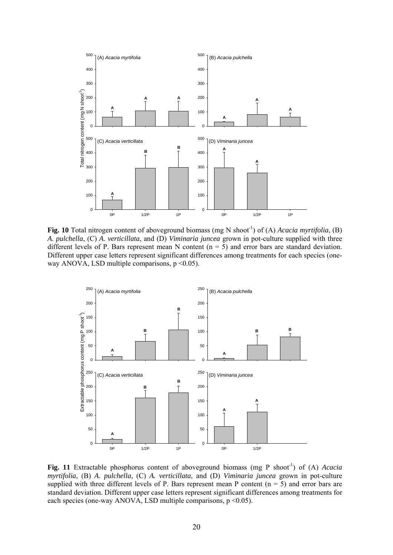

**Fig. 10** Total nitrogen content of aboveground biomass (mg N shoot<sup>-1</sup>) of (A) *Acacia myrtifolia*, (B) *A*. *pulchella*, (C) *A*. *verticillata*, and (D) *Viminaria juncea* grown in pot-culture supplied with three different levels of P. Bars represent mean N content  $(n = 5)$  and error bars are standard deviation. Different upper case letters represent significant differences among treatments for each species (oneway ANOVA, LSD multiple comparisons,  $p \le 0.05$ ).



Fig. 11 Extractable phosphorus content of aboveground biomass (mg P shoot<sup>-1</sup>) of (A) *Acacia myrtifolia*, (B) *A*. *pulchella*, (C) *A. verticillata*, and (D) *Viminaria juncea* grown in pot-culture supplied with three different levels of P. Bars represent mean P content  $(n = 5)$  and error bars are standard deviation. Different upper case letters represent significant differences among treatments for each species (one-way ANOVA, LSD multiple comparisons,  $p \le 0.05$ ).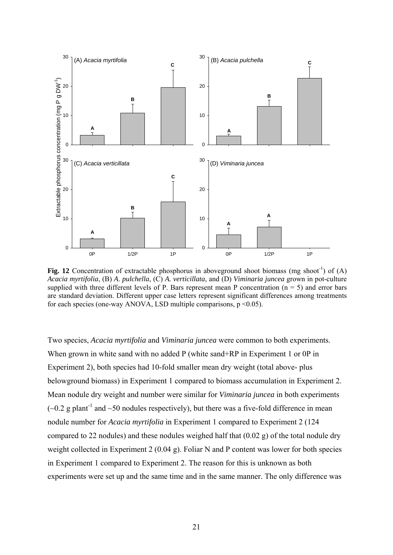

**Fig. 12** Concentration of extractable phosphorus in aboveground shoot biomass (mg shoot<sup>-1</sup>) of (A) *Acacia myrtifolia*, (B) *A*. *pulchella*, (C) *A. verticillata*, and (D) *Viminaria juncea* grown in pot-culture supplied with three different levels of P. Bars represent mean P concentration ( $n = 5$ ) and error bars are standard deviation. Different upper case letters represent significant differences among treatments for each species (one-way ANOVA, LSD multiple comparisons,  $p \le 0.05$ ).

Two species, *Acacia myrtifolia* and *Viminaria juncea* were common to both experiments. When grown in white sand with no added P (white sand+RP in Experiment 1 or 0P in Experiment 2), both species had 10-fold smaller mean dry weight (total above- plus belowground biomass) in Experiment 1 compared to biomass accumulation in Experiment 2. Mean nodule dry weight and number were similar for *Viminaria juncea* in both experiments  $(-0.2 \text{ g plant}^{-1}$  and  $\sim 50$  nodules respectively), but there was a five-fold difference in mean nodule number for *Acacia myrtifolia* in Experiment 1 compared to Experiment 2 (124 compared to 22 nodules) and these nodules weighed half that (0.02 g) of the total nodule dry weight collected in Experiment 2 (0.04 g). Foliar N and P content was lower for both species in Experiment 1 compared to Experiment 2. The reason for this is unknown as both experiments were set up and the same time and in the same manner. The only difference was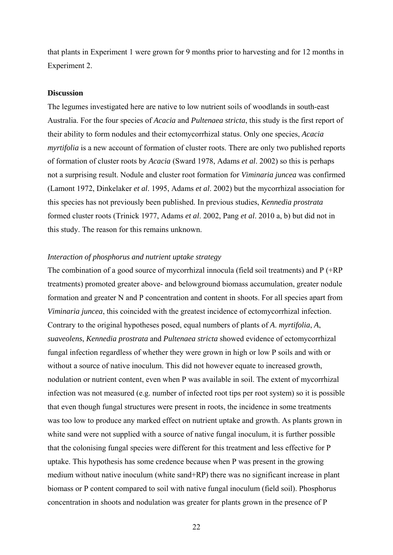that plants in Experiment 1 were grown for 9 months prior to harvesting and for 12 months in Experiment 2.

# **Discussion**

The legumes investigated here are native to low nutrient soils of woodlands in south-east Australia. For the four species of *Acacia* and *Pultenaea stricta*, this study is the first report of their ability to form nodules and their ectomycorrhizal status. Only one species, *Acacia myrtifolia* is a new account of formation of cluster roots. There are only two published reports of formation of cluster roots by *Acacia* (Sward 1978, Adams *et al*. 2002) so this is perhaps not a surprising result. Nodule and cluster root formation for *Viminaria juncea* was confirmed (Lamont 1972, Dinkelaker *et al*. 1995, Adams *et al*. 2002) but the mycorrhizal association for this species has not previously been published. In previous studies, *Kennedia prostrata* formed cluster roots (Trinick 1977, Adams *et al*. 2002, Pang *et al*. 2010 a, b) but did not in this study. The reason for this remains unknown.

#### *Interaction of phosphorus and nutrient uptake strategy*

The combination of a good source of mycorrhizal innocula (field soil treatments) and P (+RP treatments) promoted greater above- and belowground biomass accumulation, greater nodule formation and greater N and P concentration and content in shoots. For all species apart from *Viminaria juncea*, this coincided with the greatest incidence of ectomycorrhizal infection. Contrary to the original hypotheses posed, equal numbers of plants of *A*. *myrtifolia*, *A*, *suaveolens*, *Kennedia prostrata* and *Pultenaea stricta* showed evidence of ectomycorrhizal fungal infection regardless of whether they were grown in high or low P soils and with or without a source of native inoculum. This did not however equate to increased growth, nodulation or nutrient content, even when P was available in soil. The extent of mycorrhizal infection was not measured (e.g. number of infected root tips per root system) so it is possible that even though fungal structures were present in roots, the incidence in some treatments was too low to produce any marked effect on nutrient uptake and growth. As plants grown in white sand were not supplied with a source of native fungal inoculum, it is further possible that the colonising fungal species were different for this treatment and less effective for P uptake. This hypothesis has some credence because when P was present in the growing medium without native inoculum (white sand+RP) there was no significant increase in plant biomass or P content compared to soil with native fungal inoculum (field soil). Phosphorus concentration in shoots and nodulation was greater for plants grown in the presence of P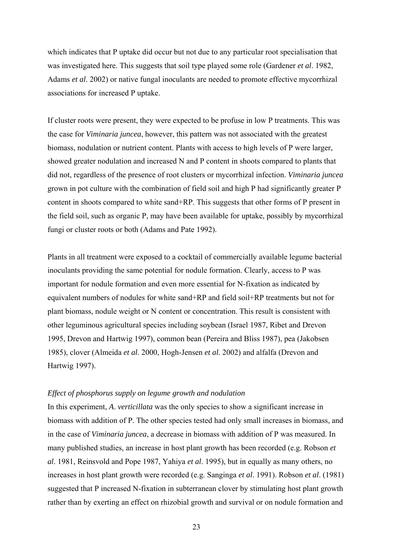which indicates that P uptake did occur but not due to any particular root specialisation that was investigated here. This suggests that soil type played some role (Gardener *et al*. 1982, Adams *et al*. 2002) or native fungal inoculants are needed to promote effective mycorrhizal associations for increased P uptake.

If cluster roots were present, they were expected to be profuse in low P treatments. This was the case for *Viminaria juncea*, however, this pattern was not associated with the greatest biomass, nodulation or nutrient content. Plants with access to high levels of P were larger, showed greater nodulation and increased N and P content in shoots compared to plants that did not, regardless of the presence of root clusters or mycorrhizal infection. *Viminaria juncea* grown in pot culture with the combination of field soil and high P had significantly greater P content in shoots compared to white sand+RP. This suggests that other forms of P present in the field soil, such as organic P, may have been available for uptake, possibly by mycorrhizal fungi or cluster roots or both (Adams and Pate 1992).

Plants in all treatment were exposed to a cocktail of commercially available legume bacterial inoculants providing the same potential for nodule formation. Clearly, access to P was important for nodule formation and even more essential for N-fixation as indicated by equivalent numbers of nodules for white sand+RP and field soil+RP treatments but not for plant biomass, nodule weight or N content or concentration. This result is consistent with other leguminous agricultural species including soybean (Israel 1987, Ribet and Drevon 1995, Drevon and Hartwig 1997), common bean (Pereira and Bliss 1987), pea (Jakobsen 1985), clover (Almeida *et al*. 2000, Hogh-Jensen *et al*. 2002) and alfalfa (Drevon and Hartwig 1997).

# *Effect of phosphorus supply on legume growth and nodulation*

In this experiment, *A*. *verticillata* was the only species to show a significant increase in biomass with addition of P. The other species tested had only small increases in biomass, and in the case of *Viminaria juncea*, a decrease in biomass with addition of P was measured. In many published studies, an increase in host plant growth has been recorded (e.g. Robson *et al*. 1981, Reinsvold and Pope 1987, Yahiya *et al*. 1995), but in equally as many others, no increases in host plant growth were recorded (e.g. Sanginga *et al*. 1991). Robson *et al*. (1981) suggested that P increased N-fixation in subterranean clover by stimulating host plant growth rather than by exerting an effect on rhizobial growth and survival or on nodule formation and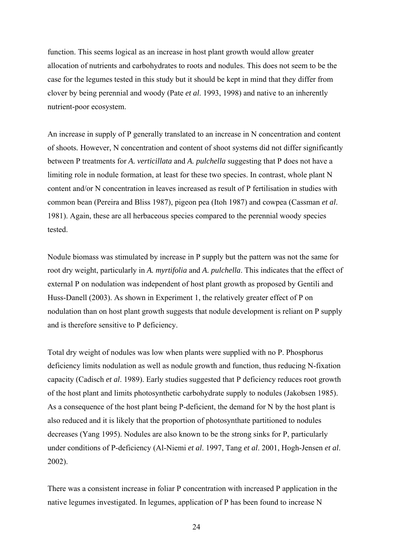function. This seems logical as an increase in host plant growth would allow greater allocation of nutrients and carbohydrates to roots and nodules. This does not seem to be the case for the legumes tested in this study but it should be kept in mind that they differ from clover by being perennial and woody (Pate *et al*. 1993, 1998) and native to an inherently nutrient-poor ecosystem.

An increase in supply of P generally translated to an increase in N concentration and content of shoots*.* However, N concentration and content of shoot systems did not differ significantly between P treatments for *A. verticillata* and *A. pulchella* suggesting that P does not have a limiting role in nodule formation, at least for these two species. In contrast, whole plant N content and/or N concentration in leaves increased as result of P fertilisation in studies with common bean (Pereira and Bliss 1987), pigeon pea (Itoh 1987) and cowpea (Cassman *et al*. 1981). Again, these are all herbaceous species compared to the perennial woody species tested.

Nodule biomass was stimulated by increase in P supply but the pattern was not the same for root dry weight, particularly in *A. myrtifolia* and *A. pulchella*. This indicates that the effect of external P on nodulation was independent of host plant growth as proposed by Gentili and Huss-Danell (2003). As shown in Experiment 1, the relatively greater effect of P on nodulation than on host plant growth suggests that nodule development is reliant on P supply and is therefore sensitive to P deficiency.

Total dry weight of nodules was low when plants were supplied with no P. Phosphorus deficiency limits nodulation as well as nodule growth and function, thus reducing N-fixation capacity (Cadisch *et al*. 1989). Early studies suggested that P deficiency reduces root growth of the host plant and limits photosynthetic carbohydrate supply to nodules (Jakobsen 1985). As a consequence of the host plant being P-deficient, the demand for N by the host plant is also reduced and it is likely that the proportion of photosynthate partitioned to nodules decreases (Yang 1995). Nodules are also known to be the strong sinks for P, particularly under conditions of P-deficiency (Al-Niemi *et al*. 1997, Tang *et al*. 2001, Hogh-Jensen *et al*. 2002).

There was a consistent increase in foliar P concentration with increased P application in the native legumes investigated. In legumes, application of P has been found to increase N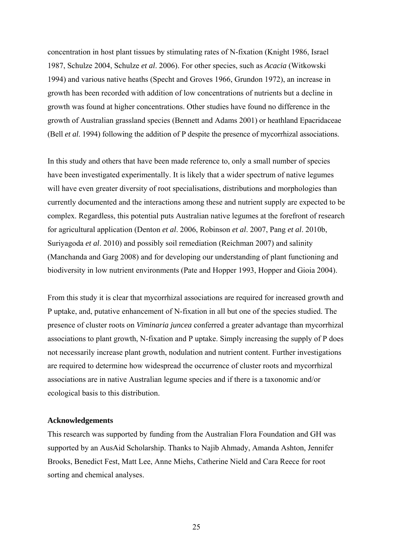concentration in host plant tissues by stimulating rates of N-fixation (Knight 1986, Israel 1987, Schulze 2004, Schulze *et al*. 2006). For other species, such as *Acacia* (Witkowski 1994) and various native heaths (Specht and Groves 1966, Grundon 1972), an increase in growth has been recorded with addition of low concentrations of nutrients but a decline in growth was found at higher concentrations. Other studies have found no difference in the growth of Australian grassland species (Bennett and Adams 2001) or heathland Epacridaceae (Bell *et al*. 1994) following the addition of P despite the presence of mycorrhizal associations.

In this study and others that have been made reference to, only a small number of species have been investigated experimentally. It is likely that a wider spectrum of native legumes will have even greater diversity of root specialisations, distributions and morphologies than currently documented and the interactions among these and nutrient supply are expected to be complex. Regardless, this potential puts Australian native legumes at the forefront of research for agricultural application (Denton *et al*. 2006, Robinson *et al*. 2007, Pang *et al*. 2010b, Suriyagoda *et al*. 2010) and possibly soil remediation (Reichman 2007) and salinity (Manchanda and Garg 2008) and for developing our understanding of plant functioning and biodiversity in low nutrient environments (Pate and Hopper 1993, Hopper and Gioia 2004).

From this study it is clear that mycorrhizal associations are required for increased growth and P uptake, and, putative enhancement of N-fixation in all but one of the species studied. The presence of cluster roots on *Viminaria juncea* conferred a greater advantage than mycorrhizal associations to plant growth, N-fixation and P uptake. Simply increasing the supply of P does not necessarily increase plant growth, nodulation and nutrient content. Further investigations are required to determine how widespread the occurrence of cluster roots and mycorrhizal associations are in native Australian legume species and if there is a taxonomic and/or ecological basis to this distribution.

#### **Acknowledgements**

This research was supported by funding from the Australian Flora Foundation and GH was supported by an AusAid Scholarship. Thanks to Najib Ahmady, Amanda Ashton, Jennifer Brooks, Benedict Fest, Matt Lee, Anne Miehs, Catherine Nield and Cara Reece for root sorting and chemical analyses.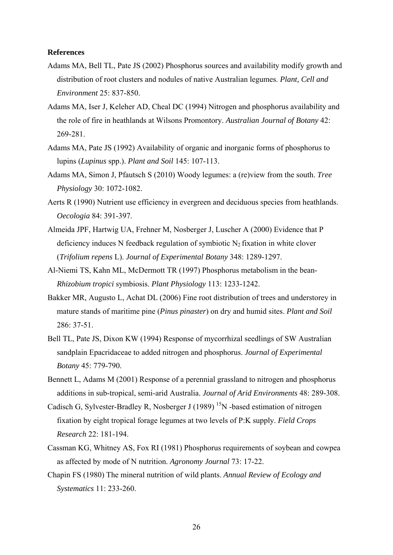#### **References**

- Adams MA, Bell TL, Pate JS (2002) Phosphorus sources and availability modify growth and distribution of root clusters and nodules of native Australian legumes. *Plant, Cell and Environment* 25: 837-850.
- Adams MA, Iser J, Keleher AD, Cheal DC (1994) Nitrogen and phosphorus availability and the role of fire in heathlands at Wilsons Promontory. *Australian Journal of Botany* 42: 269-281.
- Adams MA, Pate JS (1992) Availability of organic and inorganic forms of phosphorus to lupins (*Lupinus* spp.). *Plant and Soil* 145: 107-113.
- Adams MA, Simon J, Pfautsch S (2010) Woody legumes: a (re)view from the south. *Tree Physiology* 30: 1072-1082.
- Aerts R (1990) Nutrient use efficiency in evergreen and deciduous species from heathlands. *Oecologia* 84: 391-397.
- Almeida JPF, Hartwig UA, Frehner M, Nosberger J, Luscher A (2000) Evidence that P deficiency induces N feedback regulation of symbiotic  $N_2$  fixation in white clover (*Trifolium repens* L). *Journal of Experimental Botany* 348: 1289-1297.
- Al-Niemi TS, Kahn ML, McDermott TR (1997) Phosphorus metabolism in the bean-*Rhizobium tropici* symbiosis. *Plant Physiology* 113: 1233-1242.
- Bakker MR, Augusto L, Achat DL (2006) Fine root distribution of trees and understorey in mature stands of maritime pine (*Pinus pinaster*) on dry and humid sites. *Plant and Soil* 286: 37-51.
- Bell TL, Pate JS, Dixon KW (1994) Response of mycorrhizal seedlings of SW Australian sandplain Epacridaceae to added nitrogen and phosphorus. *Journal of Experimental Botany* 45: 779-790.
- Bennett L, Adams M (2001) Response of a perennial grassland to nitrogen and phosphorus additions in sub-tropical, semi-arid Australia. *Journal of Arid Environments* 48: 289-308.
- Cadisch G, Sylvester-Bradley R, Nosberger J (1989)<sup>15</sup>N -based estimation of nitrogen fixation by eight tropical forage legumes at two levels of P:K supply. *Field Crops Research* 22: 181-194.
- Cassman KG, Whitney AS, Fox RI (1981) Phosphorus requirements of soybean and cowpea as affected by mode of N nutrition. *Agronomy Journal* 73: 17-22.
- Chapin FS (1980) The mineral nutrition of wild plants. *Annual Review of Ecology and Systematics* 11: 233-260.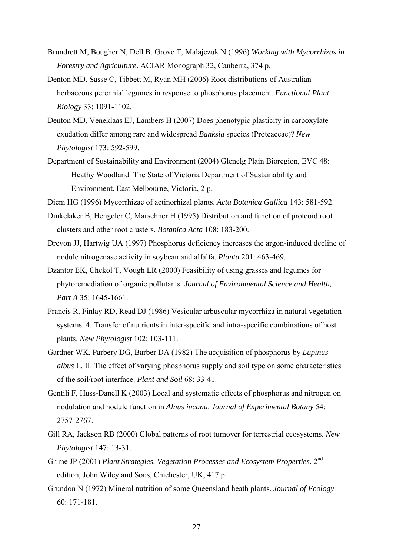- Brundrett M, Bougher N, Dell B, Grove T, Malajczuk N (1996) *Working with Mycorrhizas in Forestry and Agriculture*. ACIAR Monograph 32, Canberra, 374 p.
- Denton MD, Sasse C, Tibbett M, Ryan MH (2006) Root distributions of Australian herbaceous perennial legumes in response to phosphorus placement. *Functional Plant Biology* 33: 1091-1102.
- Denton MD, Veneklaas EJ, Lambers H (2007) Does phenotypic plasticity in carboxylate exudation differ among rare and widespread *Banksia* species (Proteaceae)? *New Phytologist* 173: 592-599.
- Department of Sustainability and Environment (2004) Glenelg Plain Bioregion, EVC 48: Heathy Woodland. The State of Victoria Department of Sustainability and Environment, East Melbourne, Victoria, 2 p.
- Diem HG (1996) Mycorrhizae of actinorhizal plants. *Acta Botanica Gallica* 143: 581-592.
- Dinkelaker B, Hengeler C, Marschner H (1995) Distribution and function of proteoid root clusters and other root clusters. *Botanica Acta* 108: 183-200.
- Drevon JJ, Hartwig UA (1997) Phosphorus deficiency increases the argon-induced decline of nodule nitrogenase activity in soybean and alfalfa. *Planta* 201: 463-469.
- Dzantor EK, Chekol T, Vough LR (2000) Feasibility of using grasses and legumes for phytoremediation of organic pollutants. *Journal of Environmental Science and Health, Part A* 35: 1645-1661.
- Francis R, Finlay RD, Read DJ (1986) Vesicular arbuscular mycorrhiza in natural vegetation systems. 4. Transfer of nutrients in inter-specific and intra-specific combinations of host plants. *New Phytologist* 102: 103-111.
- Gardner WK, Parbery DG, Barber DA (1982) The acquisition of phosphorus by *Lupinus albus* L. II. The effect of varying phosphorus supply and soil type on some characteristics of the soil/root interface. *Plant and Soil* 68: 33-41.
- Gentili F, Huss-Danell K (2003) Local and systematic effects of phosphorus and nitrogen on nodulation and nodule function in *Alnus incana*. *Journal of Experimental Botany* 54: 2757-2767.
- Gill RA, Jackson RB (2000) Global patterns of root turnover for terrestrial ecosystems. *New Phytologist* 147: 13-31.
- Grime JP (2001) *Plant Strategies, Vegetation Processes and Ecosystem Properties*. 2nd edition, John Wiley and Sons, Chichester, UK, 417 p.
- Grundon N (1972) Mineral nutrition of some Queensland heath plants. *Journal of Ecology*  60: 171-181.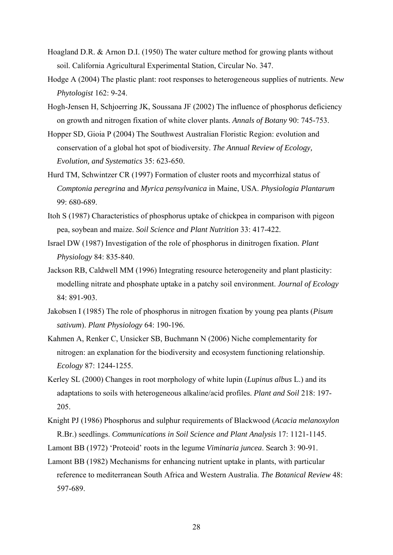- Hoagland D.R. & Arnon D.I. (1950) The water culture method for growing plants without soil. California Agricultural Experimental Station, Circular No. 347.
- Hodge A (2004) The plastic plant: root responses to heterogeneous supplies of nutrients. *New Phytologist* 162: 9-24.
- Hogh-Jensen H, Schjoerring JK, Soussana JF (2002) The influence of phosphorus deficiency on growth and nitrogen fixation of white clover plants. *Annals of Botany* 90: 745-753.
- Hopper SD, Gioia P (2004) The Southwest Australian Floristic Region: evolution and conservation of a global hot spot of biodiversity. *The Annual Review of Ecology, Evolution, and Systematics* 35: 623-650.
- Hurd TM, Schwintzer CR (1997) Formation of cluster roots and mycorrhizal status of *Comptonia peregrina* and *Myrica pensylvanica* in Maine, USA. *Physiologia Plantarum*  99: 680-689.
- Itoh S (1987) Characteristics of phosphorus uptake of chickpea in comparison with pigeon pea, soybean and maize. *Soil Science and Plant Nutrition* 33: 417-422.
- Israel DW (1987) Investigation of the role of phosphorus in dinitrogen fixation. *Plant Physiology* 84: 835-840.
- Jackson RB, Caldwell MM (1996) Integrating resource heterogeneity and plant plasticity: modelling nitrate and phosphate uptake in a patchy soil environment. *Journal of Ecology* 84: 891-903.
- Jakobsen I (1985) The role of phosphorus in nitrogen fixation by young pea plants (*Pisum sativum*). *Plant Physiology* 64: 190-196.
- Kahmen A, Renker C, Unsicker SB, Buchmann N (2006) Niche complementarity for nitrogen: an explanation for the biodiversity and ecosystem functioning relationship. *Ecology* 87: 1244-1255.
- Kerley SL (2000) Changes in root morphology of white lupin (*Lupinus albus* L.) and its adaptations to soils with heterogeneous alkaline/acid profiles. *Plant and Soil* 218: 197- 205.
- Knight PJ (1986) Phosphorus and sulphur requirements of Blackwood (*Acacia melanoxylon* R.Br.) seedlings. *Communications in Soil Science and Plant Analysis* 17: 1121-1145.

Lamont BB (1972) 'Proteoid' roots in the legume *Viminaria juncea*. Search 3: 90-91.

Lamont BB (1982) Mechanisms for enhancing nutrient uptake in plants, with particular reference to mediterranean South Africa and Western Australia. *The Botanical Review* 48: 597-689.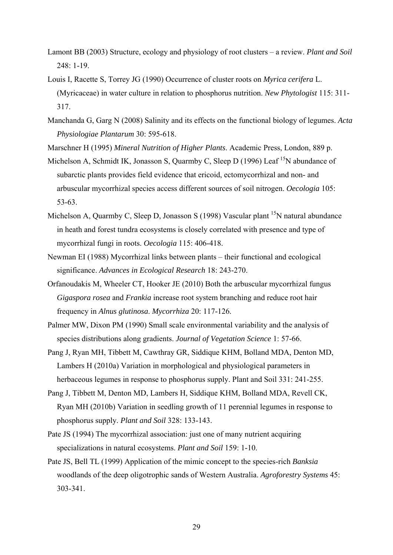- Lamont BB (2003) Structure, ecology and physiology of root clusters a review. *Plant and Soil* 248: 1-19.
- Louis I, Racette S, Torrey JG (1990) Occurrence of cluster roots on *Myrica cerifera* L. (Myricaceae) in water culture in relation to phosphorus nutrition. *New Phytologist* 115: 311- 317.
- Manchanda G, Garg N (2008) Salinity and its effects on the functional biology of legumes. *Acta Physiologiae Plantarum* 30: 595-618.
- Marschner H (1995) *Mineral Nutrition of Higher Plants*. Academic Press, London, 889 p.
- Michelson A, Schmidt IK, Jonasson S, Quarmby C, Sleep D (1996) Leaf  $^{15}N$  abundance of subarctic plants provides field evidence that ericoid, ectomycorrhizal and non- and arbuscular mycorrhizal species access different sources of soil nitrogen. *Oecologia* 105: 53-63.
- Michelson A, Quarmby C, Sleep D, Jonasson S (1998) Vascular plant  $^{15}N$  natural abundance in heath and forest tundra ecosystems is closely correlated with presence and type of mycorrhizal fungi in roots. *Oecologia* 115: 406-418.
- Newman EI (1988) Mycorrhizal links between plants their functional and ecological significance. *Advances in Ecological Research* 18: 243-270.
- Orfanoudakis M, Wheeler CT, Hooker JE (2010) Both the arbuscular mycorrhizal fungus *Gigaspora rosea* and *Frankia* increase root system branching and reduce root hair frequency in *Alnus glutinosa*. *Mycorrhiza* 20: 117-126.
- Palmer MW, Dixon PM (1990) Small scale environmental variability and the analysis of species distributions along gradients. *Journal of Vegetation Science* 1: 57-66.
- Pang J, Ryan MH, Tibbett M, Cawthray GR, Siddique KHM, Bolland MDA, Denton MD, Lambers H (2010a) Variation in morphological and physiological parameters in herbaceous legumes in response to phosphorus supply. Plant and Soil 331: 241-255.
- Pang J, Tibbett M, Denton MD, Lambers H, Siddique KHM, Bolland MDA, Revell CK, Ryan MH (2010b) Variation in seedling growth of 11 perennial legumes in response to phosphorus supply. *Plant and Soil* 328: 133-143.
- Pate JS (1994) The mycorrhizal association: just one of many nutrient acquiring specializations in natural ecosystems. *Plant and Soil* 159: 1-10.
- Pate JS, Bell TL (1999) Application of the mimic concept to the species-rich *Banksia* woodlands of the deep oligotrophic sands of Western Australia. *Agroforestry Systems* 45: 303-341.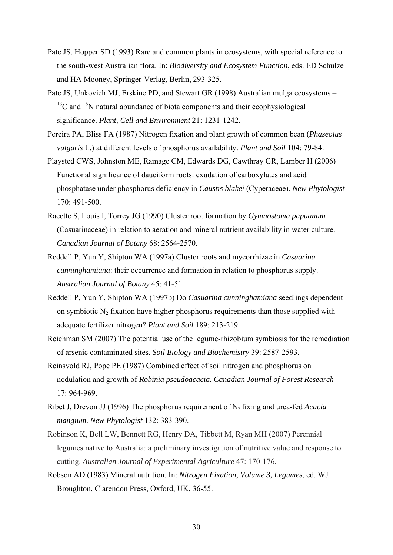- Pate JS, Hopper SD (1993) Rare and common plants in ecosystems, with special reference to the south-west Australian flora. In: *Biodiversity and Ecosystem Function*, eds. ED Schulze and HA Mooney, Springer-Verlag, Berlin, 293-325.
- Pate JS, Unkovich MJ, Erskine PD, and Stewart GR (1998) Australian mulga ecosystems  $13^{\circ}$ C and  $15^{\circ}$ N natural abundance of biota components and their ecophysiological significance. *Plant, Cell and Environment* 21: 1231-1242.
- Pereira PA, Bliss FA (1987) Nitrogen fixation and plant growth of common bean (*Phaseolus vulgaris* L.) at different levels of phosphorus availability. *Plant and Soil* 104: 79-84.
- Playsted CWS, Johnston ME, Ramage CM, Edwards DG, Cawthray GR, Lamber H (2006) Functional significance of dauciform roots: exudation of carboxylates and acid phosphatase under phosphorus deficiency in *Caustis blakei* (Cyperaceae). *New Phytologist* 170: 491-500.
- Racette S, Louis I, Torrey JG (1990) Cluster root formation by *Gymnostoma papuanum* (Casuarinaceae) in relation to aeration and mineral nutrient availability in water culture. *Canadian Journal of Botany* 68: 2564-2570.
- Reddell P, Yun Y, Shipton WA (1997a) Cluster roots and mycorrhizae in *Casuarina cunninghamiana*: their occurrence and formation in relation to phosphorus supply. *Australian Journal of Botany* 45: 41-51.
- Reddell P, Yun Y, Shipton WA (1997b) Do *Casuarina cunninghamiana* seedlings dependent on symbiotic  $N_2$  fixation have higher phosphorus requirements than those supplied with adequate fertilizer nitrogen? *Plant and Soil* 189: 213-219.
- Reichman SM (2007) The potential use of the legume-rhizobium symbiosis for the remediation of arsenic contaminated sites. *Soil Biology and Biochemistry* 39: 2587-2593.
- Reinsvold RJ, Pope PE (1987) Combined effect of soil nitrogen and phosphorus on nodulation and growth of *Robinia pseudoacacia*. *Canadian Journal of Forest Research* 17: 964-969.
- Ribet J, Drevon JJ (1996) The phosphorus requirement of N2 fixing and urea-fed *Acacia mangium*. *New Phytologist* 132: 383-390.
- Robinson K, Bell LW, Bennett RG, Henry DA, Tibbett M, Ryan MH (2007) Perennial legumes native to Australia: a preliminary investigation of nutritive value and response to cutting. *Australian Journal of Experimental Agriculture* 47: 170-176.
- Robson AD (1983) Mineral nutrition. In: *Nitrogen Fixation, Volume 3, Legumes*, ed. WJ Broughton, Clarendon Press, Oxford, UK, 36-55.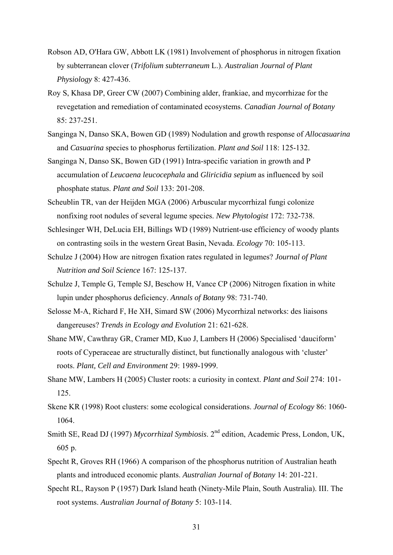- Robson AD, O'Hara GW, Abbott LK (1981) Involvement of phosphorus in nitrogen fixation by subterranean clover (*Trifolium subterraneum* L.). *Australian Journal of Plant Physiology* 8: 427-436.
- Roy S, Khasa DP, Greer CW (2007) Combining alder, frankiae, and mycorrhizae for the revegetation and remediation of contaminated ecosystems. *Canadian Journal of Botany* 85: 237-251.
- Sanginga N, Danso SKA, Bowen GD (1989) Nodulation and growth response of *Allocasuarina*  and *Casuarina* species to phosphorus fertilization. *Plant and Soil* 118: 125-132.
- Sanginga N, Danso SK, Bowen GD (1991) Intra-specific variation in growth and P accumulation of *Leucaena leucocephala* and *Gliricidia sepium* as influenced by soil phosphate status. *Plant and Soil* 133: 201-208.
- Scheublin TR, van der Heijden MGA (2006) Arbuscular mycorrhizal fungi colonize nonfixing root nodules of several legume species. *New Phytologist* 172: 732-738.
- Schlesinger WH, DeLucia EH, Billings WD (1989) Nutrient-use efficiency of woody plants on contrasting soils in the western Great Basin, Nevada. *Ecology* 70: 105-113.
- Schulze J (2004) How are nitrogen fixation rates regulated in legumes? *Journal of Plant Nutrition and Soil Science* 167: 125-137.
- Schulze J, Temple G, Temple SJ, Beschow H, Vance CP (2006) Nitrogen fixation in white lupin under phosphorus deficiency. *Annals of Botany* 98: 731-740.
- Selosse M-A, Richard F, He XH, Simard SW (2006) Mycorrhizal networks: des liaisons dangereuses? *Trends in Ecology and Evolution* 21: 621-628.
- Shane MW, Cawthray GR, Cramer MD, Kuo J, Lambers H (2006) Specialised 'dauciform' roots of Cyperaceae are structurally distinct, but functionally analogous with 'cluster' roots. *Plant, Cell and Environment* 29: 1989-1999.
- Shane MW, Lambers H (2005) Cluster roots: a curiosity in context. *Plant and Soil* 274: 101- 125.
- Skene KR (1998) Root clusters: some ecological considerations. *Journal of Ecology* 86: 1060- 1064.
- Smith SE, Read DJ (1997) *Mycorrhizal Symbiosis*. 2nd edition, Academic Press, London, UK, 605 p.
- Specht R, Groves RH (1966) A comparison of the phosphorus nutrition of Australian heath plants and introduced economic plants. *Australian Journal of Botany* 14: 201-221.
- Specht RL, Rayson P (1957) Dark Island heath (Ninety-Mile Plain, South Australia). III. The root systems. *Australian Journal of Botany* 5: 103-114.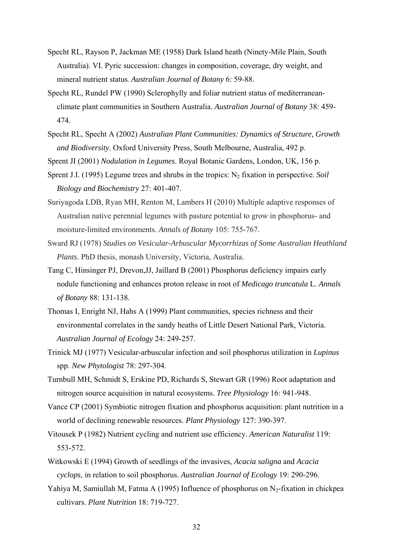- Specht RL, Rayson P, Jackman ME (1958) Dark Island heath (Ninety-Mile Plain, South Australia). VI. Pyric succession: changes in composition, coverage, dry weight, and mineral nutrient status. *Australian Journal of Botany* 6: 59-88.
- Specht RL, Rundel PW (1990) Sclerophylly and foliar nutrient status of mediterraneanclimate plant communities in Southern Australia. *Australian Journal of Botany* 38: 459- 474.
- Specht RL, Specht A (2002) *Australian Plant Communities: Dynamics of Structure, Growth and Biodiversity*. Oxford University Press, South Melbourne, Australia, 492 p.
- Sprent JI (2001) *Nodulation in Legumes*. Royal Botanic Gardens, London, UK, 156 p.
- Sprent J.I. (1995) Legume trees and shrubs in the tropics: N<sub>2</sub> fixation in perspective. *Soil Biology and Biochemistry* 27: 401-407.
- Suriyagoda LDB, Ryan MH, Renton M, Lambers H (2010) Multiple adaptive responses of Australian native perennial legumes with pasture potential to grow in phosphorus- and moisture-limited environments. *Annals of Botany* 105: 755-767.
- Sward RJ (1978) *Studies on Vesicular-Arbuscular Mycorrhizas of Some Australian Heathland Plants*. PhD thesis, monash University, Victoria, Australia.
- Tang C, Hinsinger PJ, Drevon,JJ, Jaillard B (2001) Phosphorus deficiency impairs early nodule functioning and enhances proton release in root of *Medicago truncatula* L. *Annals of Botany* 88: 131-138.
- Thomas I, Enright NJ, Hahs A (1999) Plant communities, species richness and their environmental correlates in the sandy heaths of Little Desert National Park, Victoria. *Australian Journal of Ecology* 24: 249-257.
- Trinick MJ (1977) Vesicular-arbuscular infection and soil phosphorus utilization in *Lupinus* spp. *New Phytologist* 78: 297-304.
- Turnbull MH, Schmidt S, Erskine PD, Richards S, Stewart GR (1996) Root adaptation and nitrogen source acquisition in natural ecosystems. *Tree Physiology* 16: 941-948.
- Vance CP (2001) Symbiotic nitrogen fixation and phosphorus acquisition: plant nutrition in a world of declining renewable resources. *Plant Physiology* 127: 390-397.
- Vitousek P (1982) Nutrient cycling and nutrient use efficiency. *American Naturalist* 119: 553-572.
- Witkowski E (1994) Growth of seedlings of the invasives, *Acacia saligna* and *Acacia cyclops*, in relation to soil phosphorus. *Australian Journal of Ecology* 19: 290-296.
- Yahiya M, Samiullah M, Fatma A (1995) Influence of phosphorus on  $N_2$ -fixation in chickpea cultivars. *Plant Nutrition* 18: 719-727.